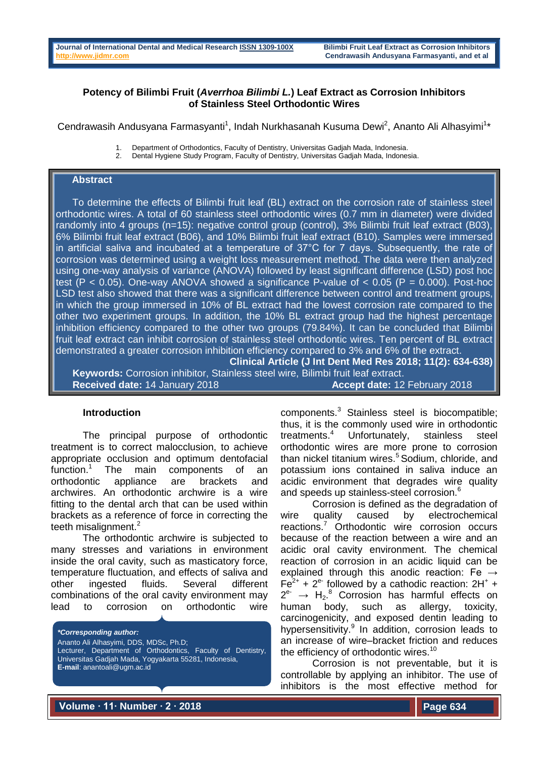# **Potency of Bilimbi Fruit (***Averrhoa Bilimbi L.***) Leaf Extract as Corrosion Inhibitors of Stainless Steel Orthodontic Wires**

Cendrawasih Andusyana Farmasyanti<sup>1</sup>, Indah Nurkhasanah Kusuma Dewi<sup>2</sup>, Ananto Ali Alhasyimi<sup>1\*</sup>

- 1. Department of Orthodontics, Faculty of Dentistry, Universitas Gadjah Mada, Indonesia.<br>2. Dental Hygiene Study Program, Faculty of Dentistry, Universitas Gadjah Mada, Indones
	- 2. Dental Hygiene Study Program, Faculty of Dentistry, Universitas Gadjah Mada, Indonesia.

### **Abstract**

 To determine the effects of Bilimbi fruit leaf (BL) extract on the corrosion rate of stainless steel orthodontic wires. A total of 60 stainless steel orthodontic wires (0.7 mm in diameter) were divided randomly into 4 groups (n=15): negative control group (control), 3% Bilimbi fruit leaf extract (B03), 6% Bilimbi fruit leaf extract (B06), and 10% Bilimbi fruit leaf extract (B10). Samples were immersed in artificial saliva and incubated at a temperature of 37°C for 7 days. Subsequently, the rate of corrosion was determined using a weight loss measurement method. The data were then analyzed using one-way analysis of variance (ANOVA) followed by least significant difference (LSD) post hoc test  $(P < 0.05)$ . One-way ANOVA showed a significance P-value of  $< 0.05$  (P = 0.000). Post-hoc LSD test also showed that there was a significant difference between control and treatment groups, in which the group immersed in 10% of BL extract had the lowest corrosion rate compared to the other two experiment groups. In addition, the 10% BL extract group had the highest percentage inhibition efficiency compared to the other two groups (79.84%). It can be concluded that Bilimbi fruit leaf extract can inhibit corrosion of stainless steel orthodontic wires. Ten percent of BL extract demonstrated a greater corrosion inhibition efficiency compared to 3% and 6% of the extract.

**Clinical Article (J Int Dent Med Res 2018; 11(2): 634-638) Keywords:** Corrosion inhibitor, Stainless steel wire, Bilimbi fruit leaf extract. **Received date:** 14 January 2018 **Accept date:** 12 February 2018

### **Introduction**

The principal purpose of orthodontic treatment is to correct malocclusion, to achieve appropriate occlusion and optimum dentofacial function.<sup>1</sup> The main components of an orthodontic appliance are brackets and archwires. An orthodontic archwire is a wire fitting to the dental arch that can be used within brackets as a reference of force in correcting the teeth misalignment. $2$ 

The orthodontic archwire is subjected to many stresses and variations in environment inside the oral cavity, such as masticatory force, temperature fluctuation, and effects of saliva and other ingested fluids. Several different combinations of the oral cavity environment may lead to corrosion on orthodontic wire

*\*Corresponding author:* Ananto Ali Alhasyimi, DDS, MDSc, Ph.D; Lecturer, Department of Orthodontics, Faculty of Dentistry, Universitas Gadjah Mada, Yogyakarta 55281, Indonesia, **E-mail**: anantoali@ugm.ac.id

components.<sup>3</sup> Stainless steel is biocompatible; thus, it is the commonly used wire in orthodontic treatments.<sup>4</sup> Unfortunately, stainless steel orthodontic wires are more prone to corrosion than nickel titanium wires.<sup>5</sup> Sodium, chloride, and potassium ions contained in saliva induce an acidic environment that degrades wire quality and speeds up stainless-steel corrosion.<sup>6</sup>

Corrosion is defined as the degradation of wire quality caused by electrochemical reactions.<sup>7</sup> Orthodontic wire corrosion occurs because of the reaction between a wire and an acidic oral cavity environment. The chemical reaction of corrosion in an acidic liquid can be explained through this anodic reaction: Fe  $\rightarrow$ Fe<sup>2+</sup> + 2<sup>e-</sup> followed by a cathodic reaction:  $2H^+$  +  $2^{e^-} \rightarrow H_2$ .<sup>8</sup> Corrosion has harmful effects on human body, such as allergy, toxicity, carcinogenicity, and exposed dentin leading to hypersensitivity.<sup>9</sup> In addition, corrosion leads to an increase of wire–bracket friction and reduces the efficiency of orthodontic wires.<sup>10</sup>

Corrosion is not preventable, but it is controllable by applying an inhibitor. The use of inhibitors is the most effective method for

**Volume ∙ 11∙ Number ∙ 2 ∙ 2018**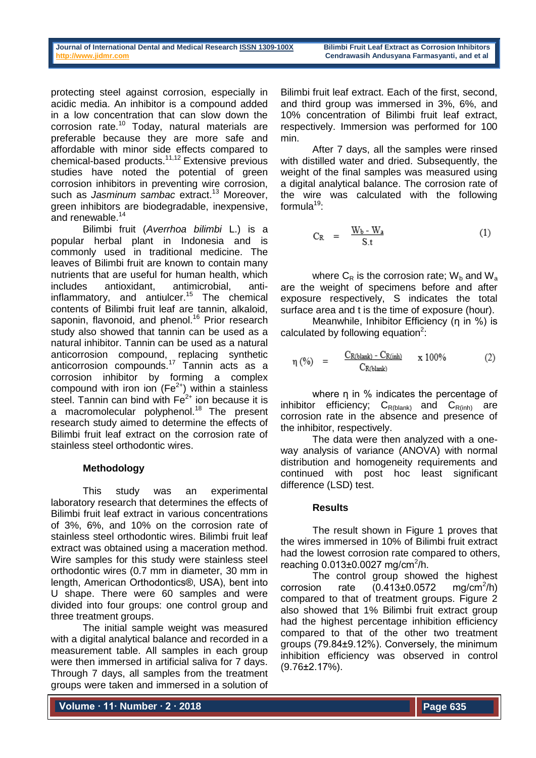protecting steel against corrosion, especially in acidic media. An inhibitor is a compound added in a low concentration that can slow down the corrosion rate.<sup>10</sup> Today, natural materials are preferable because they are more safe and affordable with minor side effects compared to chemical-based products.11,12 Extensive previous studies have noted the potential of green corrosion inhibitors in preventing wire corrosion, such as *Jasminum sambac* extract.<sup>13</sup> Moreover. green inhibitors are biodegradable, inexpensive, and renewable.<sup>14</sup>

Bilimbi fruit (*Averrhoa bilimbi* L.) is a popular herbal plant in Indonesia and is commonly used in traditional medicine. The leaves of Bilimbi fruit are known to contain many nutrients that are useful for human health, which includes antioxidant, antimicrobial, antiinflammatory, and antiulcer.<sup>15</sup> The chemical contents of Bilimbi fruit leaf are tannin, alkaloid, saponin, flavonoid, and phenol.<sup>16</sup> Prior research study also showed that tannin can be used as a natural inhibitor. Tannin can be used as a natural anticorrosion compound, replacing synthetic anticorrosion compounds.<sup>17</sup> Tannin acts as a corrosion inhibitor by forming a complex compound with iron ion  $(Fe^{2+})$  within a stainless steel. Tannin can bind with  $Fe<sup>2+</sup>$  ion because it is a macromolecular polyphenol.<sup>18</sup> The present research study aimed to determine the effects of Bilimbi fruit leaf extract on the corrosion rate of stainless steel orthodontic wires.

# **Methodology**

This study was an experimental laboratory research that determines the effects of Bilimbi fruit leaf extract in various concentrations of 3%, 6%, and 10% on the corrosion rate of stainless steel orthodontic wires. Bilimbi fruit leaf extract was obtained using a maceration method. Wire samples for this study were stainless steel orthodontic wires (0.7 mm in diameter, 30 mm in length, American Orthodontics®, USA), bent into U shape. There were 60 samples and were divided into four groups: one control group and three treatment groups.

The initial sample weight was measured with a digital analytical balance and recorded in a measurement table. All samples in each group were then immersed in artificial saliva for 7 days. Through 7 days, all samples from the treatment groups were taken and immersed in a solution of Bilimbi fruit leaf extract. Each of the first, second, and third group was immersed in 3%, 6%, and 10% concentration of Bilimbi fruit leaf extract, respectively. Immersion was performed for 100 min.

After 7 days, all the samples were rinsed with distilled water and dried. Subsequently, the weight of the final samples was measured using a digital analytical balance. The corrosion rate of the wire was calculated with the following formula $19$ :

$$
C_R = \frac{W_b - W_a}{S.t}
$$
 (1)

where  $C_R$  is the corrosion rate;  $W_b$  and  $W_a$ are the weight of specimens before and after exposure respectively, S indicates the total surface area and t is the time of exposure (hour).

Meanwhile, Inhibitor Efficiency (η in %) is calculated by following equation $2$ :

$$
\eta\,\,(\%)\quad = \quad \frac{C_{R(blank)} - C_{R(int)} }{C_{R(blank)}} \qquad x\,\,100\%\tag{2}
$$

where n in % indicates the percentage of inhibitor efficiency;  $C_{R(b)anh}$  and  $C_{R(inh)}$  are corrosion rate in the absence and presence of the inhibitor, respectively.

The data were then analyzed with a oneway analysis of variance (ANOVA) with normal distribution and homogeneity requirements and continued with post hoc least significant difference (LSD) test.

# **Results**

The result shown in Figure 1 proves that the wires immersed in 10% of Bilimbi fruit extract had the lowest corrosion rate compared to others, reaching  $0.013 \pm 0.0027$  mg/cm<sup>2</sup>/h.

The control group showed the highest  $corrosion$  rate  $(0.413\pm0.0572)$  $ma/cm^2/h$ ) compared to that of treatment groups. Figure 2 also showed that 1% Bilimbi fruit extract group had the highest percentage inhibition efficiency compared to that of the other two treatment groups (79.84±9.12%). Conversely, the minimum inhibition efficiency was observed in control (9.76±2.17%).

**Volume ∙ 11∙ Number ∙ 2 ∙ 2018**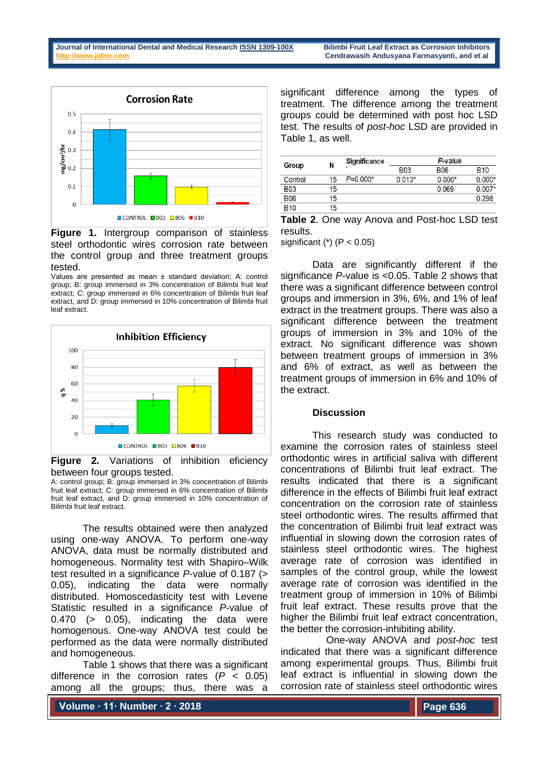

**Figure 1.** Intergroup comparison of stainless steel orthodontic wires corrosion rate between the control group and three treatment groups tested.

Values are presented as mean ± standard deviation; A: control group; B: group immersed in 3% concentration of Bilimbi fruit leaf extract; C: group immersed in 6% concentration of Bilimbi fruit leaf extract, and D: group immersed in 10% concentration of Bilimbi fruit leaf extract.



**Figure 2.** Variations of inhibition eficiency between four groups tested.

A: control group; B: group immersed in 3% concentration of Bilimbi fruit leaf extract; C: group immersed in 6% concentration of Bilimbi fruit leaf extract, and D: group immersed in 10% concentration of Bilimbi fruit leaf extract.

The results obtained were then analyzed using one-way ANOVA. To perform one-way ANOVA, data must be normally distributed and homogeneous. Normality test with Shapiro–Wilk test resulted in a significance *P*-value of 0.187 (> 0.05), indicating the data were normally distributed. Homoscedasticity test with Levene Statistic resulted in a significance *P*-value of 0.470 (> 0.05), indicating the data were homogenous. One-way ANOVA test could be performed as the data were normally distributed and homogeneous.

Table 1 shows that there was a significant difference in the corrosion rates (*P* < 0.05) among all the groups; thus, there was a

significant difference among the types of treatment. The difference among the treatment groups could be determined with post hoc LSD test. The results of *post-hoc* LSD are provided in Table 1, as well.

| Group      | Ν  | Significance |            | P-value    |            |
|------------|----|--------------|------------|------------|------------|
|            |    |              | <b>B03</b> | <b>B06</b> | <b>B10</b> |
| Control    | 15 | $P = 0.000*$ | $0.013*$   | $0.000*$   | $0.000*$   |
| <b>B03</b> | 15 |              |            | 0.069      | $0.007*$   |
| <b>B06</b> | 15 |              |            |            | 0.298      |
| <b>B10</b> | 15 |              |            |            |            |

**Table 2**. One way Anova and Post-hoc LSD test results.

significant  $(*)$  (P < 0.05)

Data are significantly different if the significance *P*-value is <0.05. Table 2 shows that there was a significant difference between control groups and immersion in 3%, 6%, and 1% of leaf extract in the treatment groups. There was also a significant difference between the treatment groups of immersion in 3% and 10% of the extract. No significant difference was shown between treatment groups of immersion in 3% and 6% of extract, as well as between the treatment groups of immersion in 6% and 10% of the extract.

### **Discussion**

This research study was conducted to examine the corrosion rates of stainless steel orthodontic wires in artificial saliva with different concentrations of Bilimbi fruit leaf extract. The results indicated that there is a significant difference in the effects of Bilimbi fruit leaf extract concentration on the corrosion rate of stainless steel orthodontic wires. The results affirmed that the concentration of Bilimbi fruit leaf extract was influential in slowing down the corrosion rates of stainless steel orthodontic wires. The highest average rate of corrosion was identified in samples of the control group, while the lowest average rate of corrosion was identified in the treatment group of immersion in 10% of Bilimbi fruit leaf extract. These results prove that the higher the Bilimbi fruit leaf extract concentration, the better the corrosion-inhibiting ability.

 One-way ANOVA and *post-hoc* test indicated that there was a significant difference among experimental groups. Thus, Bilimbi fruit leaf extract is influential in slowing down the corrosion rate of stainless steel orthodontic wires

**Volume ∙ 11∙ Number ∙ 2 ∙ 2018**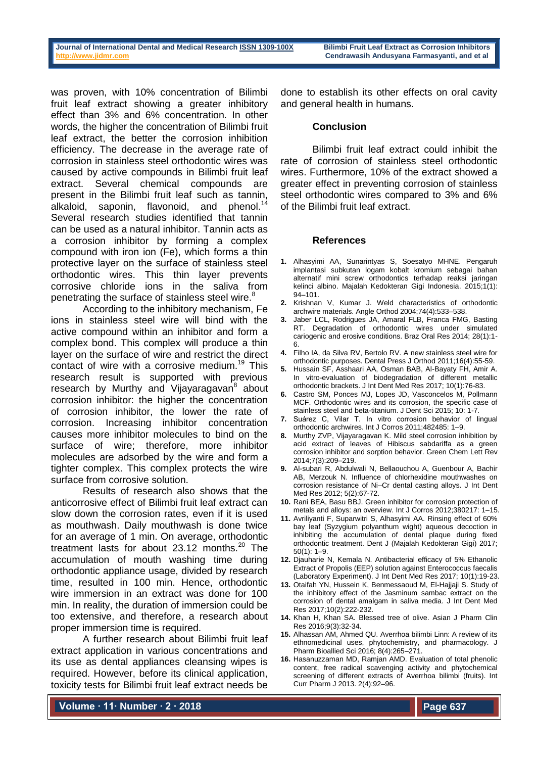was proven, with 10% concentration of Bilimbi fruit leaf extract showing a greater inhibitory effect than 3% and 6% concentration. In other words, the higher the concentration of Bilimbi fruit leaf extract, the better the corrosion inhibition efficiency. The decrease in the average rate of corrosion in stainless steel orthodontic wires was caused by active compounds in Bilimbi fruit leaf extract. Several chemical compounds are present in the Bilimbi fruit leaf such as tannin, alkaloid, saponin, flavonoid, and phenol.<sup>14</sup> Several research studies identified that tannin can be used as a natural inhibitor. Tannin acts as a corrosion inhibitor by forming a complex compound with iron ion (Fe), which forms a thin protective layer on the surface of stainless steel orthodontic wires. This thin layer prevents corrosive chloride ions in the saliva from penetrating the surface of stainless steel wire.<sup>8</sup>

According to the inhibitory mechanism, Fe ions in stainless steel wire will bind with the active compound within an inhibitor and form a complex bond. This complex will produce a thin layer on the surface of wire and restrict the direct contact of wire with a corrosive medium.<sup>19</sup> This research result is supported with previous research by Murthy and Vijayaragavan<sup>8</sup> about corrosion inhibitor: the higher the concentration of corrosion inhibitor, the lower the rate of corrosion. Increasing inhibitor concentration causes more inhibitor molecules to bind on the surface of wire; therefore, more inhibitor molecules are adsorbed by the wire and form a tighter complex. This complex protects the wire surface from corrosive solution.

Results of research also shows that the anticorrosive effect of Bilimbi fruit leaf extract can slow down the corrosion rates, even if it is used as mouthwash. Daily mouthwash is done twice for an average of 1 min. On average, orthodontic treatment lasts for about  $23.12$  months.<sup>20</sup> The accumulation of mouth washing time during orthodontic appliance usage, divided by research time, resulted in 100 min. Hence, orthodontic wire immersion in an extract was done for 100 min. In reality, the duration of immersion could be too extensive, and therefore, a research about proper immersion time is required.

A further research about Bilimbi fruit leaf extract application in various concentrations and its use as dental appliances cleansing wipes is required. However, before its clinical application, toxicity tests for Bilimbi fruit leaf extract needs be

done to establish its other effects on oral cavity and general health in humans.

#### **Conclusion**

Bilimbi fruit leaf extract could inhibit the rate of corrosion of stainless steel orthodontic wires. Furthermore, 10% of the extract showed a greater effect in preventing corrosion of stainless steel orthodontic wires compared to 3% and 6% of the Bilimbi fruit leaf extract.

#### **References**

- **1.** Alhasyimi AA, Sunarintyas S, Soesatyo MHNE. Pengaruh implantasi subkutan logam kobalt kromium sebagai bahan alternatif mini screw orthodontics terhadap reaksi jaringan kelinci albino. Majalah Kedokteran Gigi Indonesia. 2015;1(1): 94–101.
- **2.** Krishnan V, Kumar J. Weld characteristics of orthodontic archwire materials. Angle Orthod 2004;74(4):533–538.
- **3.** Jaber LCL, Rodrigues JA, Amaral FLB, Franca FMG, Basting RT. Degradation of orthodontic wires under simulated cariogenic and erosive conditions. Braz Oral Res 2014; 28(1):1- 6.
- **4.** Filho IA, da Silva RV, Bertolo RV. A new stainless steel wire for orthodontic purposes. Dental Press J Orthod 2011;16(4):55-59.
- **5.** Hussain SF, Asshaari AA, Osman BAB, Al-Bayaty FH, Amir A. In vitro-evaluation of biodegradation of different metallic orthodontic brackets. J Int Dent Med Res 2017; 10(1):76-83.
- **6.** Castro SM, Ponces MJ, Lopes JD, Vasconcelos M, Pollmann MCF. Orthodontic wires and its corrosion, the specific case of stainless steel and beta-titanium. J Dent Sci 2015; 10: 1-7.
- **7.** Suárez C, Vilar T. In vitro corrosion behavior of lingual orthodontic archwires. Int J Corros 2011;482485: 1–9.
- **8.** Murthy ZVP, Vijayaragavan K. Mild steel corrosion inhibition by acid extract of leaves of Hibiscus sabdariffa as a green corrosion inhibitor and sorption behavior. Green Chem Lett Rev 2014;7(3):209–219.
- **9.** Al-subari R, Abdulwali N, Bellaouchou A, Guenbour A, Bachir AB, Merzouk N. Influence of chlorhexidine mouthwashes on corrosion resistance of Ni–Cr dental casting alloys. J Int Dent Med Res 2012; 5(2):67-72.
- **10.** Rani BEA, Basu BBJ. Green inhibitor for corrosion protection of metals and alloys: an overview. Int J Corros 2012;380217: 1–15.
- **11.** Avriliyanti F, Suparwitri S, Alhasyimi AA. Rinsing effect of 60% bay leaf (Syzygium polyanthum wight) aqueous decoction in inhibiting the accumulation of dental plaque during fixed orthodontic treatment. Dent J (Majalah Kedokteran Gigi) 2017;  $50(1)$ :  $1-9$ .
- **12.** Djauharie N, Kemala N. Antibacterial efficacy of 5% Ethanolic Extract of Propolis (EEP) solution against Enterococcus faecalis (Laboratory Experiment). J Int Dent Med Res 2017; 10(1):19-23.
- **13.** Otaifah YN, Hussein K, Benmessaoud M, El-Hajjaji S. Study of the inhibitory effect of the Jasminum sambac extract on the corrosion of dental amalgam in saliva media. J Int Dent Med Res 2017;10(2):222-232.
- **14.** Khan H, Khan SA. Blessed tree of olive. Asian J Pharm Clin Res 2016;9(3):32-34.
- **15.** Alhassan AM, Ahmed QU. Averrhoa bilimbi Linn: A review of its ethnomedicinal uses, phytochemistry, and pharmacology. J Pharm Bioallied Sci 2016; 8(4):265–271.
- **16.** Hasanuzzaman MD, Ramjan AMD. Evaluation of total phenolic content, free radical scavenging activity and phytochemical screening of different extracts of Averrhoa bilimbi (fruits). Int Curr Pharm J 2013. 2(4):92–96.

**Volume ∙ 11∙ Number ∙ 2 ∙ 2018**